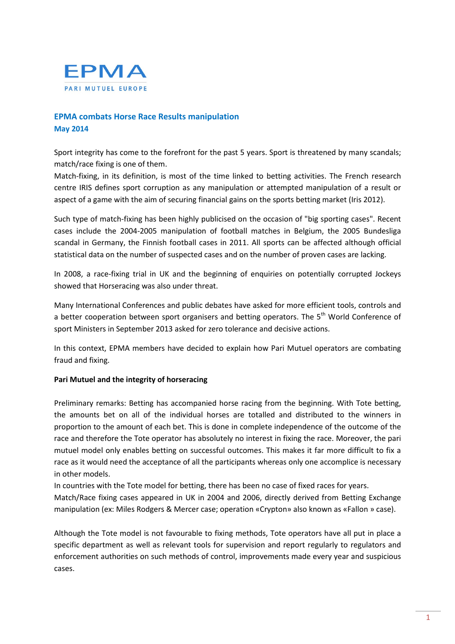

# EPMA combats Horse Race Results manipulation May 2014

Sport integrity has come to the forefront for the past 5 years. Sport is threatened by many scandals; match/race fixing is one of them.

Match-fixing, in its definition, is most of the time linked to betting activities. The French research centre IRIS defines sport corruption as any manipulation or attempted manipulation of a result or aspect of a game with the aim of securing financial gains on the sports betting market (Iris 2012).

Such type of match-fixing has been highly publicised on the occasion of "big sporting cases". Recent cases include the 2004-2005 manipulation of football matches in Belgium, the 2005 Bundesliga scandal in Germany, the Finnish football cases in 2011. All sports can be affected although official statistical data on the number of suspected cases and on the number of proven cases are lacking.

In 2008, a race-fixing trial in UK and the beginning of enquiries on potentially corrupted Jockeys showed that Horseracing was also under threat.

Many International Conferences and public debates have asked for more efficient tools, controls and a better cooperation between sport organisers and betting operators. The  $5<sup>th</sup>$  World Conference of sport Ministers in September 2013 asked for zero tolerance and decisive actions.

In this context, EPMA members have decided to explain how Pari Mutuel operators are combating fraud and fixing.

### Pari Mutuel and the integrity of horseracing

Preliminary remarks: Betting has accompanied horse racing from the beginning. With Tote betting, the amounts bet on all of the individual horses are totalled and distributed to the winners in proportion to the amount of each bet. This is done in complete independence of the outcome of the race and therefore the Tote operator has absolutely no interest in fixing the race. Moreover, the pari mutuel model only enables betting on successful outcomes. This makes it far more difficult to fix a race as it would need the acceptance of all the participants whereas only one accomplice is necessary in other models.

In countries with the Tote model for betting, there has been no case of fixed races for years.

Match/Race fixing cases appeared in UK in 2004 and 2006, directly derived from Betting Exchange manipulation (ex: Miles Rodgers & Mercer case; operation «Crypton» also known as «Fallon » case).

Although the Tote model is not favourable to fixing methods, Tote operators have all put in place a specific department as well as relevant tools for supervision and report regularly to regulators and enforcement authorities on such methods of control, improvements made every year and suspicious cases.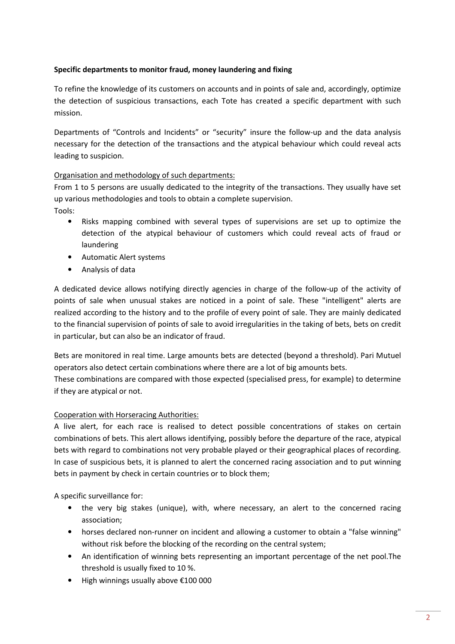# Specific departments to monitor fraud, money laundering and fixing

To refine the knowledge of its customers on accounts and in points of sale and, accordingly, optimize the detection of suspicious transactions, each Tote has created a specific department with such mission.

Departments of "Controls and Incidents" or "security" insure the follow-up and the data analysis necessary for the detection of the transactions and the atypical behaviour which could reveal acts leading to suspicion.

# Organisation and methodology of such departments:

From 1 to 5 persons are usually dedicated to the integrity of the transactions. They usually have set up various methodologies and tools to obtain a complete supervision.

Tools:

- Risks mapping combined with several types of supervisions are set up to optimize the detection of the atypical behaviour of customers which could reveal acts of fraud or laundering
- Automatic Alert systems
- Analysis of data

A dedicated device allows notifying directly agencies in charge of the follow-up of the activity of points of sale when unusual stakes are noticed in a point of sale. These "intelligent" alerts are realized according to the history and to the profile of every point of sale. They are mainly dedicated to the financial supervision of points of sale to avoid irregularities in the taking of bets, bets on credit in particular, but can also be an indicator of fraud.

Bets are monitored in real time. Large amounts bets are detected (beyond a threshold). Pari Mutuel operators also detect certain combinations where there are a lot of big amounts bets.

These combinations are compared with those expected (specialised press, for example) to determine if they are atypical or not.

### Cooperation with Horseracing Authorities:

A live alert, for each race is realised to detect possible concentrations of stakes on certain combinations of bets. This alert allows identifying, possibly before the departure of the race, atypical bets with regard to combinations not very probable played or their geographical places of recording. In case of suspicious bets, it is planned to alert the concerned racing association and to put winning bets in payment by check in certain countries or to block them;

A specific surveillance for:

- the very big stakes (unique), with, where necessary, an alert to the concerned racing association;
- horses declared non-runner on incident and allowing a customer to obtain a "false winning" without risk before the blocking of the recording on the central system;
- An identification of winning bets representing an important percentage of the net pool.The threshold is usually fixed to 10 %.
- High winnings usually above €100 000